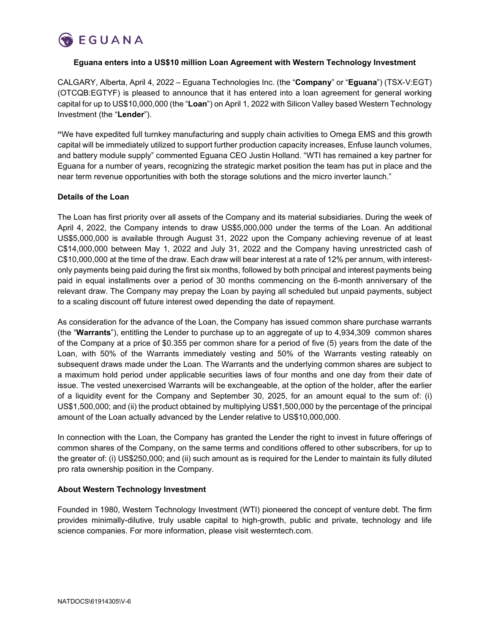

# **Eguana enters into a US\$10 million Loan Agreement with Western Technology Investment**

CALGARY, Alberta, April 4, 2022 – Eguana Technologies Inc. (the "**Company**" or "**Eguana**") (TSX-V:EGT) (OTCQB:EGTYF) is pleased to announce that it has entered into a loan agreement for general working capital for up to US\$10,000,000 (the "**Loan**") on April 1, 2022 with Silicon Valley based Western Technology Investment (the "**Lender**").

**"**We have expedited full turnkey manufacturing and supply chain activities to Omega EMS and this growth capital will be immediately utilized to support further production capacity increases, Enfuse launch volumes, and battery module supply" commented Eguana CEO Justin Holland. "WTI has remained a key partner for Eguana for a number of years, recognizing the strategic market position the team has put in place and the near term revenue opportunities with both the storage solutions and the micro inverter launch."

# **Details of the Loan**

The Loan has first priority over all assets of the Company and its material subsidiaries. During the week of April 4, 2022, the Company intends to draw US\$5,000,000 under the terms of the Loan. An additional US\$5,000,000 is available through August 31, 2022 upon the Company achieving revenue of at least C\$14,000,000 between May 1, 2022 and July 31, 2022 and the Company having unrestricted cash of C\$10,000,000 at the time of the draw. Each draw will bear interest at a rate of 12% per annum, with interestonly payments being paid during the first six months, followed by both principal and interest payments being paid in equal installments over a period of 30 months commencing on the 6-month anniversary of the relevant draw. The Company may prepay the Loan by paying all scheduled but unpaid payments, subject to a scaling discount off future interest owed depending the date of repayment.

As consideration for the advance of the Loan, the Company has issued common share purchase warrants (the "**Warrants**"), entitling the Lender to purchase up to an aggregate of up to 4,934,309 common shares of the Company at a price of \$0.355 per common share for a period of five (5) years from the date of the Loan, with 50% of the Warrants immediately vesting and 50% of the Warrants vesting rateably on subsequent draws made under the Loan. The Warrants and the underlying common shares are subject to a maximum hold period under applicable securities laws of four months and one day from their date of issue. The vested unexercised Warrants will be exchangeable, at the option of the holder, after the earlier of a liquidity event for the Company and September 30, 2025, for an amount equal to the sum of: (i) US\$1,500,000; and (ii) the product obtained by multiplying US\$1,500,000 by the percentage of the principal amount of the Loan actually advanced by the Lender relative to US\$10,000,000.

In connection with the Loan, the Company has granted the Lender the right to invest in future offerings of common shares of the Company, on the same terms and conditions offered to other subscribers, for up to the greater of: (i) US\$250,000; and (ii) such amount as is required for the Lender to maintain its fully diluted pro rata ownership position in the Company.

## **About Western Technology Investment**

Founded in 1980, Western Technology Investment (WTI) pioneered the concept of venture debt. The firm provides minimally-dilutive, truly usable capital to high-growth, public and private, technology and life science companies. For more information, please visit westerntech.com.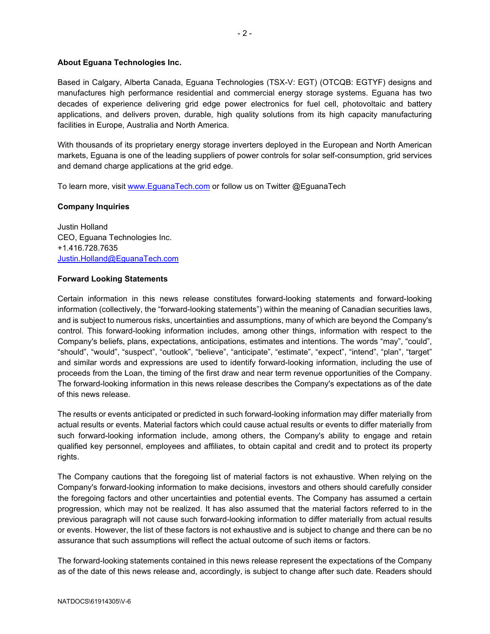# **About Eguana Technologies Inc.**

Based in Calgary, Alberta Canada, Eguana Technologies (TSX-V: EGT) (OTCQB: EGTYF) designs and manufactures high performance residential and commercial energy storage systems. Eguana has two decades of experience delivering grid edge power electronics for fuel cell, photovoltaic and battery applications, and delivers proven, durable, high quality solutions from its high capacity manufacturing facilities in Europe, Australia and North America.

With thousands of its proprietary energy storage inverters deployed in the European and North American markets, Eguana is one of the leading suppliers of power controls for solar self-consumption, grid services and demand charge applications at the grid edge.

To learn more, visit [www.EguanaTech.com](http://www.eguanatech.com/) or follow us on Twitter @EguanaTech

# **Company Inquiries**

Justin Holland CEO, Eguana Technologies Inc. +1.416.728.7635 [Justin.Holland@EguanaTech.com](mailto:Justin.Holland@EguanaTech.com)

## **Forward Looking Statements**

Certain information in this news release constitutes forward-looking statements and forward-looking information (collectively, the "forward-looking statements") within the meaning of Canadian securities laws, and is subject to numerous risks, uncertainties and assumptions, many of which are beyond the Company's control. This forward-looking information includes, among other things, information with respect to the Company's beliefs, plans, expectations, anticipations, estimates and intentions. The words "may", "could", "should", "would", "suspect", "outlook", "believe", "anticipate", "estimate", "expect", "intend", "plan", "target" and similar words and expressions are used to identify forward-looking information, including the use of proceeds from the Loan, the timing of the first draw and near term revenue opportunities of the Company. The forward-looking information in this news release describes the Company's expectations as of the date of this news release.

The results or events anticipated or predicted in such forward-looking information may differ materially from actual results or events. Material factors which could cause actual results or events to differ materially from such forward-looking information include, among others, the Company's ability to engage and retain qualified key personnel, employees and affiliates, to obtain capital and credit and to protect its property rights.

The Company cautions that the foregoing list of material factors is not exhaustive. When relying on the Company's forward-looking information to make decisions, investors and others should carefully consider the foregoing factors and other uncertainties and potential events. The Company has assumed a certain progression, which may not be realized. It has also assumed that the material factors referred to in the previous paragraph will not cause such forward-looking information to differ materially from actual results or events. However, the list of these factors is not exhaustive and is subject to change and there can be no assurance that such assumptions will reflect the actual outcome of such items or factors.

The forward-looking statements contained in this news release represent the expectations of the Company as of the date of this news release and, accordingly, is subject to change after such date. Readers should